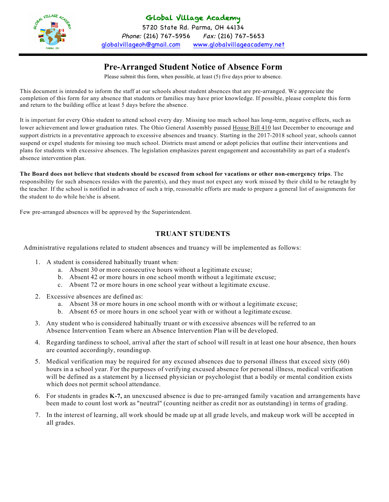

## Global Village Academy

5720 State Rd. Parma, OH 44134 Phone: (216) 767-5956 Fax: (216) 767-5653 globalvillageoh@gmail.com www.globalvillageacademy.net

# **Pre-Arranged Student Notice of Absence Form**

Please submit this form, when possible, at least (5) five days prior to absence.

This document is intended to inform the staff at our schools about student absences that are pre-arranged. We appreciate the completion of this form for any absence that students or families may have prior knowledge. If possible, please complete this form and return to the building office at least 5 days before the absence.

It is important for every Ohio student to attend school every day. Missing too much school has long-term, negative effects, such as lower achievement and lower graduation rates. The Ohio General Assembly passed House Bill 410 last December to encourage and support districts in a preventative approach to excessive absences and truancy. Starting in the 2017-2018 school year, schools cannot suspend or expel students for missing too much school. Districts must amend or adopt policies that outline their interventions and plans for students with excessive absences. The legislation emphasizes parent engagement and accountability as part of a student's absence intervention plan.

**The Board does not believe that students should be excused from school for vacations or other non-emergency trips**. The responsibility for such absences resides with the parent(s), and they must not expect any work missed by their child to be retaught by the teacher. If the school is notified in advance of such a trip, reasonable efforts are made to prepare a general list of assignments for the student to do while he/she is absent.

Few pre-arranged absences will be approved by the Superintendent.

#### **TRUANT STUDENTS**

Administrative regulations related to student absences and truancy will be implemented as follows:

- 1. A student is considered habitually truant when:
	- a. Absent 30 or more consecutive hours without a legitimate excuse;
	- b. Absent 42 or more hours in one school month without a legitimate excuse;
	- c. Absent 72 or more hours in one school year without a legitimate excuse.
- 2. Excessive absences are defined as:
	- a. Absent 38 or more hours in one school month with or without a legitimate excuse;
	- b. Absent 65 or more hours in one school year with or without a legitimate excuse.
- 3. Any student who is considered habitually truant or with excessive absences will be referred to an Absence Intervention Team where an Absence Intervention Plan will be developed.
- 4. Regarding tardiness to school, arrival after the start of school will result in at least one hour absence, then hours are counted accordingly, roundingup.
- 5. Medical verification may be required for any excused absences due to personal illness that exceed sixty (60) hours in a school year. For the purposes of verifying excused absence for personal illness, medical verification will be defined as a statement by a licensed physician or psychologist that a bodily or mental condition exists which does not permit school attendance.
- 6. For students in grades **K-7,** an unexcused absence is due to pre-arranged family vacation and arrangements have been made to count lost work as "neutral" (counting neither as credit nor as outstanding) in terms of grading.
- 7. In the interest of learning, all work should be made up at all grade levels, and makeup work will be accepted in all grades.